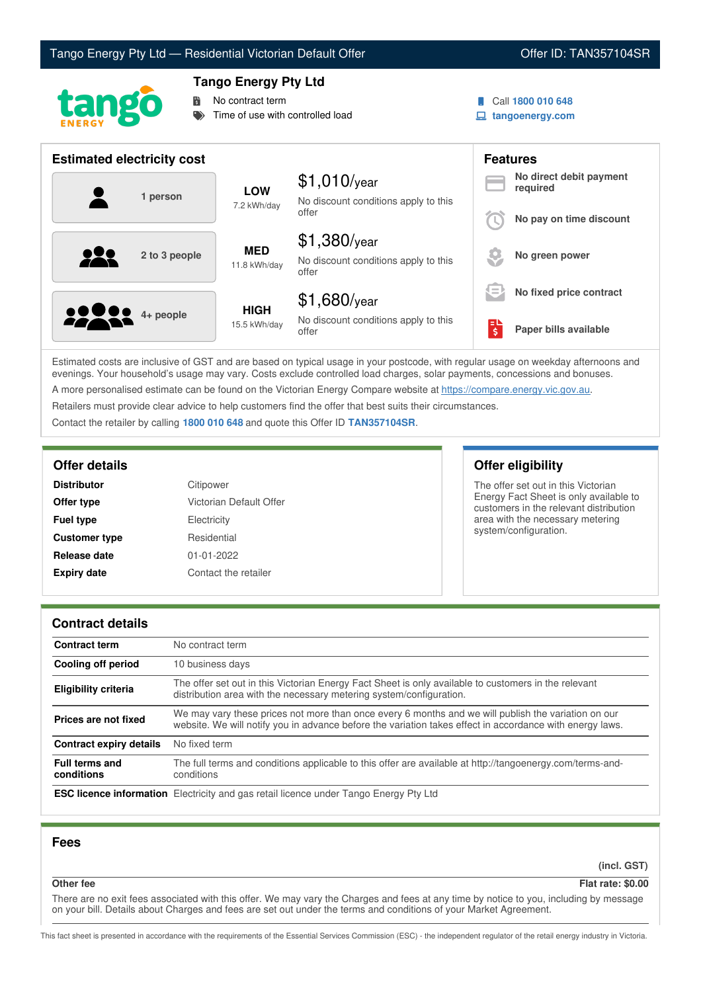# Tango Energy Pty Ltd — Residential Victorian Default Offer **Communist Communist Communist Communist Communist Communist Communist Communist Communist Communist Communist Communist Communist Communist Communist Communist Co**



# **Tango Energy Pty Ltd**

No contract term

Time of use with controlled load

Call **1800 010 648**

**tangoenergy.com**

| <b>Estimated electricity cost</b> |                             |                                                                 |          | <b>Features</b>                     |  |
|-----------------------------------|-----------------------------|-----------------------------------------------------------------|----------|-------------------------------------|--|
| 1 person                          | <b>LOW</b><br>7.2 kWh/day   | $$1,010$ /year<br>No discount conditions apply to this          |          | No direct debit payment<br>required |  |
|                                   |                             | offer                                                           |          | No pay on time discount             |  |
| 2 to 3 people                     | <b>MED</b><br>11.8 kWh/day  | $$1,380$ /year<br>No discount conditions apply to this<br>offer |          | No green power                      |  |
|                                   |                             | $$1,680$ /year                                                  | $\equiv$ | No fixed price contract             |  |
| <b>00000</b> 4+ people            | <b>HIGH</b><br>15.5 kWh/day | No discount conditions apply to this<br>offer                   | Еl<br>\$ | Paper bills available               |  |

Estimated costs are inclusive of GST and are based on typical usage in your postcode, with regular usage on weekday afternoons and evenings. Your household's usage may vary. Costs exclude controlled load charges, solar payments, concessions and bonuses. A more personalised estimate can be found on the Victorian Energy Compare website at <https://compare.energy.vic.gov.au>.

Retailers must provide clear advice to help customers find the offer that best suits their circumstances.

Contact the retailer by calling **1800 010 648** and quote this Offer ID **TAN357104SR**.

| <b>Distributor</b>   | Citipower               |
|----------------------|-------------------------|
| Offer type           | Victorian Default Offer |
| <b>Fuel type</b>     | Electricity             |
| <b>Customer type</b> | Residential             |
| Release date         | $01 - 01 - 2022$        |
| <b>Expiry date</b>   | Contact the retailer    |

# **Offer details Offer eligibility**

The offer set out in this Victorian Energy Fact Sheet is only available to customers in the relevant distribution area with the necessary metering system/configuration.

## **Contract details**

| <b>Contract term</b>                | No contract term                                                                                                                                                                                                |
|-------------------------------------|-----------------------------------------------------------------------------------------------------------------------------------------------------------------------------------------------------------------|
| Cooling off period                  | 10 business days                                                                                                                                                                                                |
| <b>Eligibility criteria</b>         | The offer set out in this Victorian Energy Fact Sheet is only available to customers in the relevant<br>distribution area with the necessary metering system/configuration.                                     |
| Prices are not fixed                | We may vary these prices not more than once every 6 months and we will publish the variation on our<br>website. We will notify you in advance before the variation takes effect in accordance with energy laws. |
| <b>Contract expiry details</b>      | No fixed term                                                                                                                                                                                                   |
| <b>Full terms and</b><br>conditions | The full terms and conditions applicable to this offer are available at http://tangoenergy.com/terms-and-<br>conditions                                                                                         |
|                                     | <b>ESC licence information</b> Electricity and gas retail licence under Tango Energy Pty Ltd                                                                                                                    |

## **Fees**

**(incl. GST)**

# **Other fee Flat rate: \$0.00**

There are no exit fees associated with this offer. We may vary the Charges and fees at any time by notice to you, including by message on your bill. Details about Charges and fees are set out under the terms and conditions of your Market Agreement.

This fact sheet is presented in accordance with the requirements of the Essential Services Commission (ESC) - the independent regulator of the retail energy industry in Victoria.